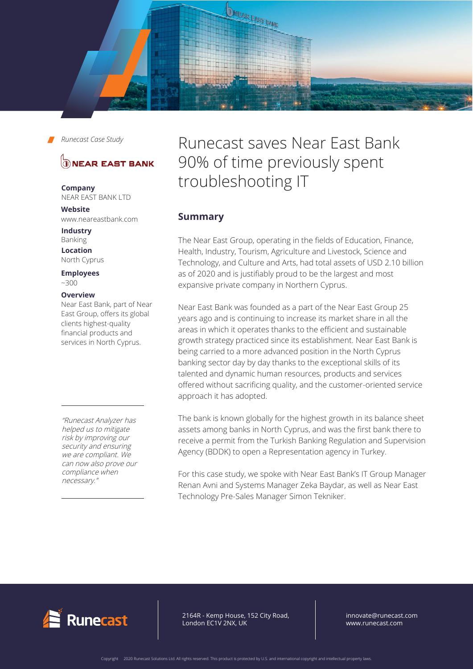

# **DINEAR EAST BANK**

**Company** NEAR EAST BANK LTD

**Website** www.neareastbank.com

**Industry** Banking **Location**

North Cyprus

**Employees**  ~300

#### **Overview**

Near East Bank, part of Near East Group, offers its global clients highest-quality financial products and services in North Cyprus.

"Runecast Analyzer has helped us to mitigate risk by improving our security and ensuring we are compliant. We can now also prove our compliance when necessary."

# Runecast saves Near East Bank 90% of time previously spent troubleshooting IT

# **Summary**

The Near East Group, operating in the fields of Education, Finance, Health, Industry, Tourism, Agriculture and Livestock, Science and Technology, and Culture and Arts, had total assets of USD 2.10 billion as of 2020 and is justifiably proud to be the largest and most expansive private company in Northern Cyprus.

Near East Bank was founded as a part of the Near East Group 25 years ago and is continuing to increase its market share in all the areas in which it operates thanks to the efficient and sustainable growth strategy practiced since its establishment. Near East Bank is being carried to a more advanced position in the North Cyprus banking sector day by day thanks to the exceptional skills of its talented and dynamic human resources, products and services offered without sacrificing quality, and the customer-oriented service approach it has adopted.

The bank is known globally for the highest growth in its balance sheet assets among banks in North Cyprus, and was the first bank there to receive a permit from the Turkish Banking Regulation and Supervision Agency (BDDK) to open a Representation agency in Turkey.

For this case study, we spoke with Near East Bank's IT Group Manager Renan Avni and Systems Manager Zeka Baydar, as well as Near East Technology Pre-Sales Manager Simon Tekniker.



64R - Kemp House, 152 City Road, ndon EC1V 2NX, UK 2164R - Kemp House, 152 City Road, London EC1V 2NX, UK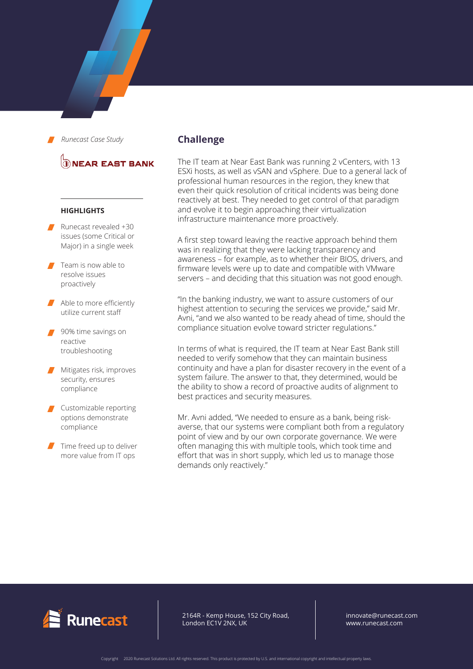# **DIEAR EAST BANK**

#### **HIGHLIGHTS**

- Runecast revealed +30 issues (some Critical or Major) in a single week
- Team is now able to resolve issues proactively
- Able to more efficiently utilize current staff
- 90% time savings on reactive troubleshooting
- **Mitigates risk, improves** security, ensures compliance
- Customizable reporting options demonstrate compliance
- $\blacksquare$  Time freed up to deliver more value from IT ops

## **Challenge**

The IT team at Near East Bank was running 2 vCenters, with 13 ESXi hosts, as well as vSAN and vSphere. Due to a general lack of professional human resources in the region, they knew that even their quick resolution of critical incidents was being done reactively at best. They needed to get control of that paradigm and evolve it to begin approaching their virtualization infrastructure maintenance more proactively.

A first step toward leaving the reactive approach behind them was in realizing that they were lacking transparency and awareness – for example, as to whether their BIOS, drivers, and firmware levels were up to date and compatible with VMware servers – and deciding that this situation was not good enough.

"In the banking industry, we want to assure customers of our highest attention to securing the services we provide," said Mr. Avni, "and we also wanted to be ready ahead of time, should the compliance situation evolve toward stricter regulations."

In terms of what is required, the IT team at Near East Bank still needed to verify somehow that they can maintain business continuity and have a plan for disaster recovery in the event of a system failure. The answer to that, they determined, would be the ability to show a record of proactive audits of alignment to best practices and security measures.

Mr. Avni added, "We needed to ensure as a bank, being riskaverse, that our systems were compliant both from a regulatory point of view and by our own corporate governance. We were often managing this with multiple tools, which took time and effort that was in short supply, which led us to manage those demands only reactively."



2164R - Kemp House, 152 City Road, London EC1V 2NX, UK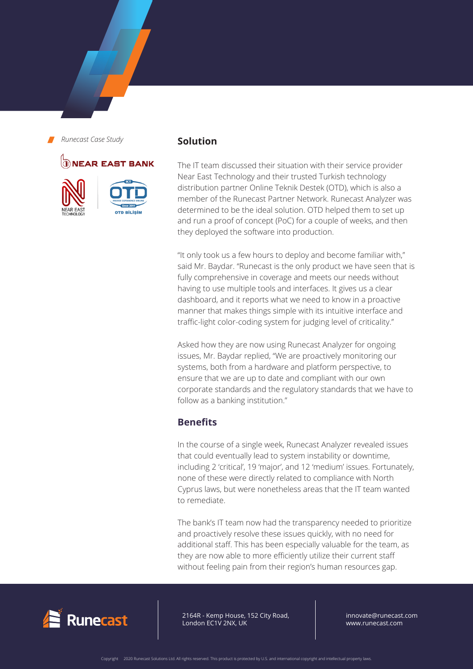# **DNEAR EAST BANK**





### **Solution**

The IT team discussed their situation with their service provider Near East Technology and their trusted Turkish technology distribution partner Online Teknik Destek (OTD), which is also a member of the Runecast Partner Network. Runecast Analyzer was determined to be the ideal solution. OTD helped them to set up and run a proof of concept (PoC) for a couple of weeks, and then they deployed the software into production.

"It only took us a few hours to deploy and become familiar with," said Mr. Baydar. "Runecast is the only product we have seen that is fully comprehensive in coverage and meets our needs without having to use multiple tools and interfaces. It gives us a clear dashboard, and it reports what we need to know in a proactive manner that makes things simple with its intuitive interface and traffic-light color-coding system for judging level of criticality."

Asked how they are now using Runecast Analyzer for ongoing issues, Mr. Baydar replied, "We are proactively monitoring our systems, both from a hardware and platform perspective, to ensure that we are up to date and compliant with our own corporate standards and the regulatory standards that we have to follow as a banking institution."

# **Benefits**

In the course of a single week, Runecast Analyzer revealed issues that could eventually lead to system instability or downtime, including 2 'critical', 19 'major', and 12 'medium' issues. Fortunately, none of these were directly related to compliance with North Cyprus laws, but were nonetheless areas that the IT team wanted to remediate.

The bank's IT team now had the transparency needed to prioritize and proactively resolve these issues quickly, with no need for additional staff. This has been especially valuable for the team, as they are now able to more efficiently utilize their current staff without feeling pain from their region's human resources gap.



2164R - Kemp House, 152 City Road, London EC1V 2NX, UK